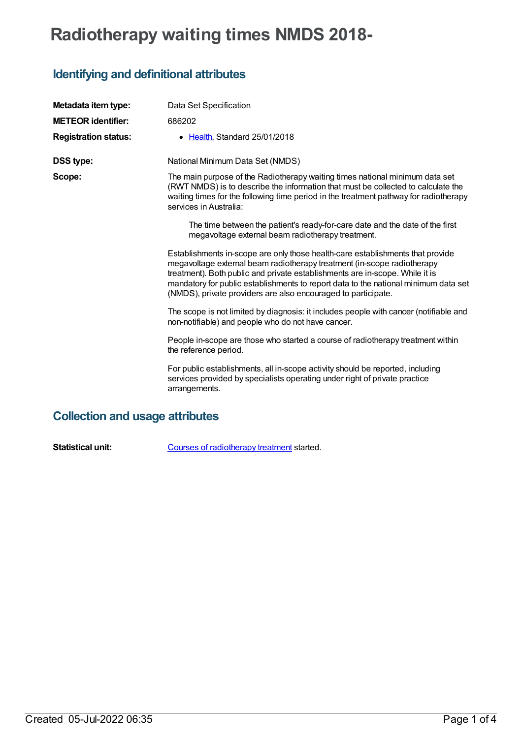## **Radiotherapy waiting times NMDS 2018-**

## **Identifying and definitional attributes**

| Metadata item type:         | Data Set Specification                                                                                                                                                                                                                                                                                                                                                                            |
|-----------------------------|---------------------------------------------------------------------------------------------------------------------------------------------------------------------------------------------------------------------------------------------------------------------------------------------------------------------------------------------------------------------------------------------------|
| <b>METEOR identifier:</b>   | 686202                                                                                                                                                                                                                                                                                                                                                                                            |
| <b>Registration status:</b> | • Health, Standard 25/01/2018                                                                                                                                                                                                                                                                                                                                                                     |
| <b>DSS type:</b>            | National Minimum Data Set (NMDS)                                                                                                                                                                                                                                                                                                                                                                  |
| Scope:                      | The main purpose of the Radiotherapy waiting times national minimum data set<br>(RWT NMDS) is to describe the information that must be collected to calculate the<br>waiting times for the following time period in the treatment pathway for radiotherapy<br>services in Australia:                                                                                                              |
|                             | The time between the patient's ready-for-care date and the date of the first<br>megavoltage external beam radiotherapy treatment.                                                                                                                                                                                                                                                                 |
|                             | Establishments in-scope are only those health-care establishments that provide<br>megavoltage external beam radiotherapy treatment (in-scope radiotherapy<br>treatment). Both public and private establishments are in-scope. While it is<br>mandatory for public establishments to report data to the national minimum data set<br>(NMDS), private providers are also encouraged to participate. |
|                             | The scope is not limited by diagnosis: it includes people with cancer (notifiable and<br>non-notifiable) and people who do not have cancer.                                                                                                                                                                                                                                                       |
|                             | People in-scope are those who started a course of radiotherapy treatment within<br>the reference period.                                                                                                                                                                                                                                                                                          |
|                             | For public establishments, all in-scope activity should be reported, including<br>services provided by specialists operating under right of private practice<br>arrangements.                                                                                                                                                                                                                     |

## **Collection and usage attributes**

**Statistical unit:** Courses of [radiotherapy](file:///content/448151) treatment started.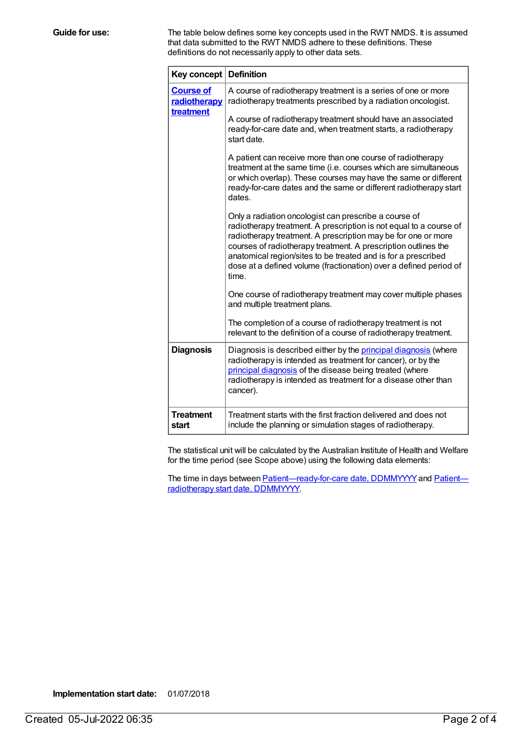**Guide for use:** The table below defines some key concepts used in the RWT NMDS. It is assumed that data submitted to the RWT NMDS adhere to these definitions. These definitions do not necessarily apply to other data sets.

| Key concept   Definition                      |                                                                                                                                                                                                                                                                                                                                                                                                               |
|-----------------------------------------------|---------------------------------------------------------------------------------------------------------------------------------------------------------------------------------------------------------------------------------------------------------------------------------------------------------------------------------------------------------------------------------------------------------------|
| <b>Course of</b><br>radiotherapy<br>treatment | A course of radiotherapy treatment is a series of one or more<br>radiotherapy treatments prescribed by a radiation oncologist.                                                                                                                                                                                                                                                                                |
|                                               | A course of radiotherapy treatment should have an associated<br>ready-for-care date and, when treatment starts, a radiotherapy<br>start date.                                                                                                                                                                                                                                                                 |
|                                               | A patient can receive more than one course of radiotherapy<br>treatment at the same time (i.e. courses which are simultaneous<br>or which overlap). These courses may have the same or different<br>ready-for-care dates and the same or different radiotherapy start<br>dates.                                                                                                                               |
|                                               | Only a radiation oncologist can prescribe a course of<br>radiotherapy treatment. A prescription is not equal to a course of<br>radiotherapy treatment. A prescription may be for one or more<br>courses of radiotherapy treatment. A prescription outlines the<br>anatomical region/sites to be treated and is for a prescribed<br>dose at a defined volume (fractionation) over a defined period of<br>time. |
|                                               | One course of radiotherapy treatment may cover multiple phases<br>and multiple treatment plans.                                                                                                                                                                                                                                                                                                               |
|                                               | The completion of a course of radiotherapy treatment is not<br>relevant to the definition of a course of radiotherapy treatment.                                                                                                                                                                                                                                                                              |
| <b>Diagnosis</b>                              | Diagnosis is described either by the principal diagnosis (where<br>radiotherapy is intended as treatment for cancer), or by the<br>principal diagnosis of the disease being treated (where<br>radiotherapy is intended as treatment for a disease other than<br>cancer).                                                                                                                                      |
| <b>Treatment</b><br>start                     | Treatment starts with the first fraction delivered and does not<br>include the planning or simulation stages of radiotherapy.                                                                                                                                                                                                                                                                                 |

The statistical unit will be calculated by the Australian Institute of Health and Welfare for the time period (see Scope above) using the following data elements:

The time in days between **[Patient—ready-for-care](file:///content/448147) date, DDMMYYYY** and **Patient** radiotherapy start date, DDMMYYYY.

**Implementation start date:** 01/07/2018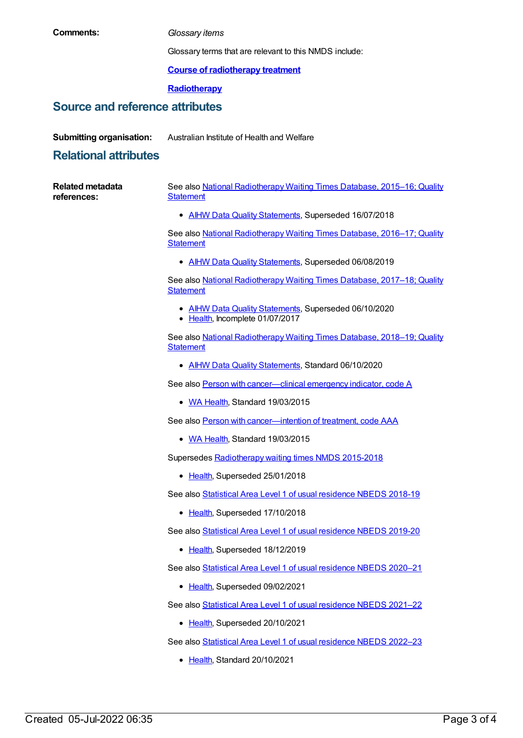| Comments:                              | Glossary items                                                                                |
|----------------------------------------|-----------------------------------------------------------------------------------------------|
|                                        | Glossary terms that are relevant to this NMDS include:                                        |
|                                        | <b>Course of radiotherapy treatment</b>                                                       |
|                                        | Radiotherapy                                                                                  |
| <b>Source and reference attributes</b> |                                                                                               |
| <b>Submitting organisation:</b>        | Australian Institute of Health and Welfare                                                    |
| <b>Relational attributes</b>           |                                                                                               |
|                                        |                                                                                               |
| <b>Related metadata</b><br>references: | See also National Radiotherapy Waiting Times Database, 2015-16; Quality<br><b>Statement</b>   |
|                                        | • AIHW Data Quality Statements, Superseded 16/07/2018                                         |
|                                        | See also National Radiotherapy Waiting Times Database, 2016-17; Quality<br><b>Statement</b>   |
|                                        | • AIHW Data Quality Statements, Superseded 06/08/2019                                         |
|                                        | See also National Radiotherapy Waiting Times Database, 2017-18; Quality<br><b>Statement</b>   |
|                                        | <b>AIHW Data Quality Statements, Superseded 06/10/2020</b><br>• Health, Incomplete 01/07/2017 |
|                                        | See also National Radiotherapy Waiting Times Database, 2018-19; Quality<br><b>Statement</b>   |
|                                        | • AIHW Data Quality Statements, Standard 06/10/2020                                           |
|                                        | See also Person with cancer-clinical emergency indicator, code A                              |
|                                        | • WA Health, Standard 19/03/2015                                                              |
|                                        | See also Person with cancer-intention of treatment, code AAA                                  |
|                                        | • WA Health, Standard 19/03/2015                                                              |
|                                        | Supersedes Radiotherapy waiting times NMDS 2015-2018                                          |
|                                        | • Health, Superseded 25/01/2018                                                               |
|                                        | See also Statistical Area Level 1 of usual residence NBEDS 2018-19                            |
|                                        | • Health, Superseded 17/10/2018                                                               |
|                                        | See also Statistical Area Level 1 of usual residence NBEDS 2019-20                            |
|                                        | • Health, Superseded 18/12/2019                                                               |
|                                        | See also Statistical Area Level 1 of usual residence NBEDS 2020-21                            |
|                                        | • Health, Superseded 09/02/2021                                                               |
|                                        | See also Statistical Area Level 1 of usual residence NBEDS 2021-22                            |
|                                        | <u>Health</u> , Superseded 20/10/2021<br>٠                                                    |
|                                        | See also Statistical Area Level 1 of usual residence NBEDS 2022-23                            |
|                                        | Health, Standard 20/10/2021                                                                   |